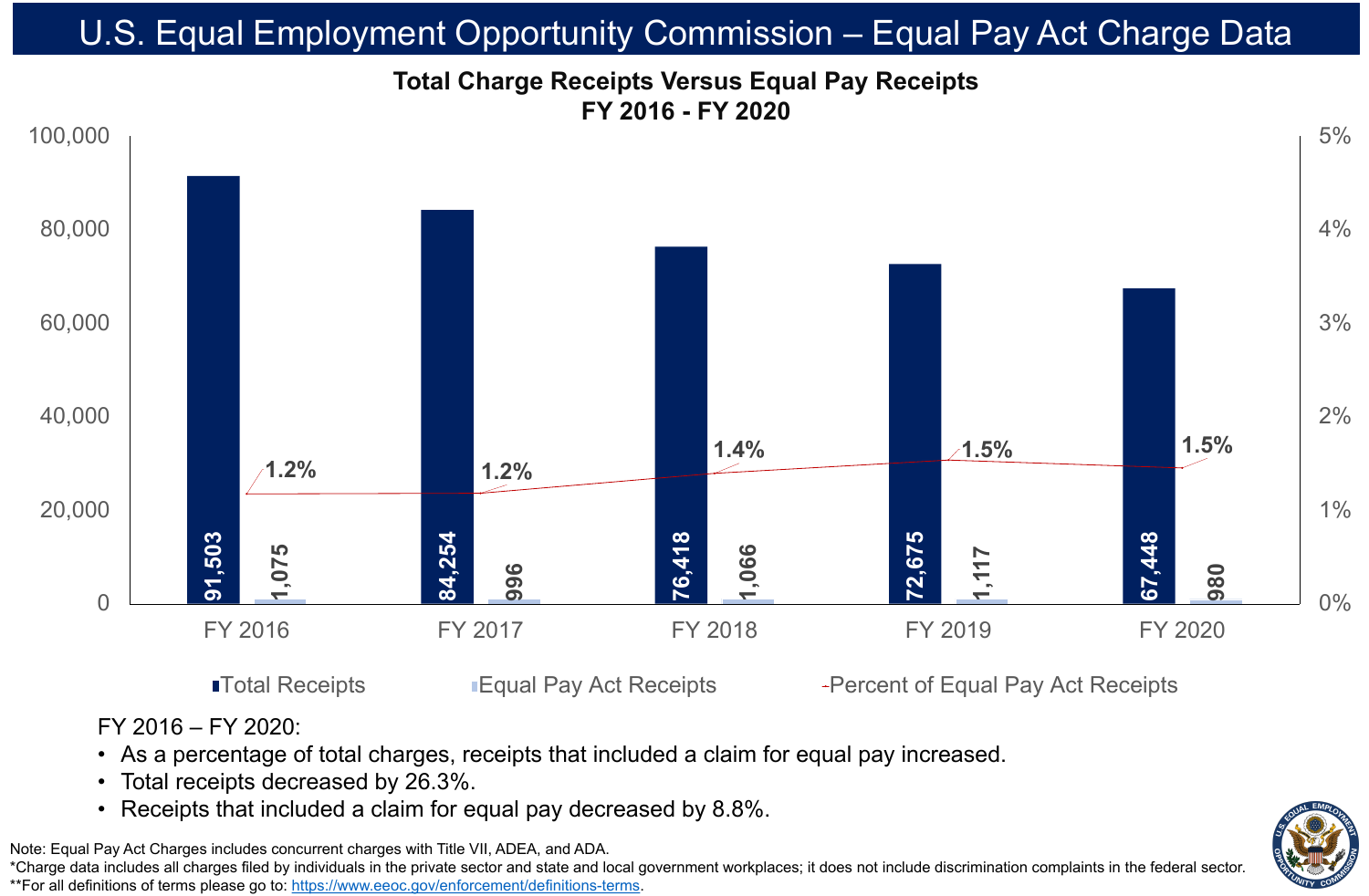# • Total receipts decreased by 26.3%.





## **Total Charge Receipts Versus Equal Pay Receipts FY 2016 - FY 2020** U.S. Equal Employment Opportunity Commission – Equal Pay Act Charge Data

Note: Equal Pay Act Charges includes concurrent charges with Title VII, ADEA, and ADA. \*Charge data includes all charges filed by individuals in the private sector and state and local government workplaces; it does not include discrimination complaints in the federal sector. \*\*For all definitions of terms please go to: [https://www.eeoc.gov/enforcement/definitions-terms.](https://www.eeoc.gov/enforcement/definitions-terms)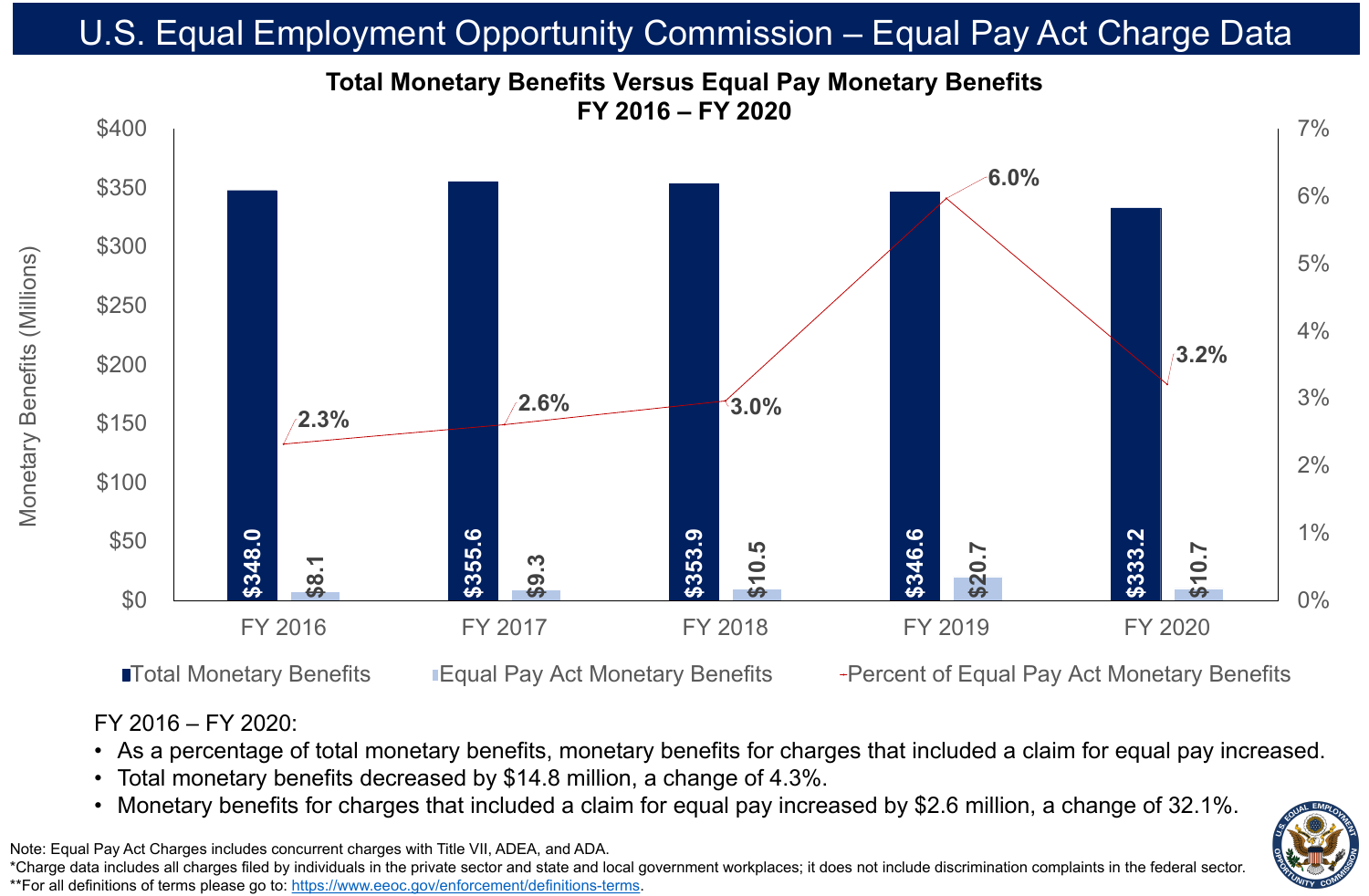### FY 2016 – FY 2020:

- 
- 
- 

• As a percentage of total monetary benefits, monetary benefits for charges that included a claim for equal pay increased.



# • Total monetary benefits decreased by \$14.8 million, a change of 4.3%.

## **Total Monetary Benefits Versus Equal Pay Monetary Benefits FY 2016 – FY 2020** U.S. Equal Employment Opportunity Commission – Equal Pay Act Charge Data

Note: Equal Pay Act Charges includes concurrent charges with Title VII, ADEA, and ADA. \*Charge data includes all charges filed by individuals in the private sector and state and local government workplaces; it does not include discrimination complaints in the federal sector. \*\*For all definitions of terms please go to: [https://www.eeoc.gov/enforcement/definitions-terms.](https://www.eeoc.gov/enforcement/definitions-terms)

**ITotal Monetary Benefits IF Equal Pay Act Monetary Benefits** Percent of Equal Pay Act Monetary Benefits

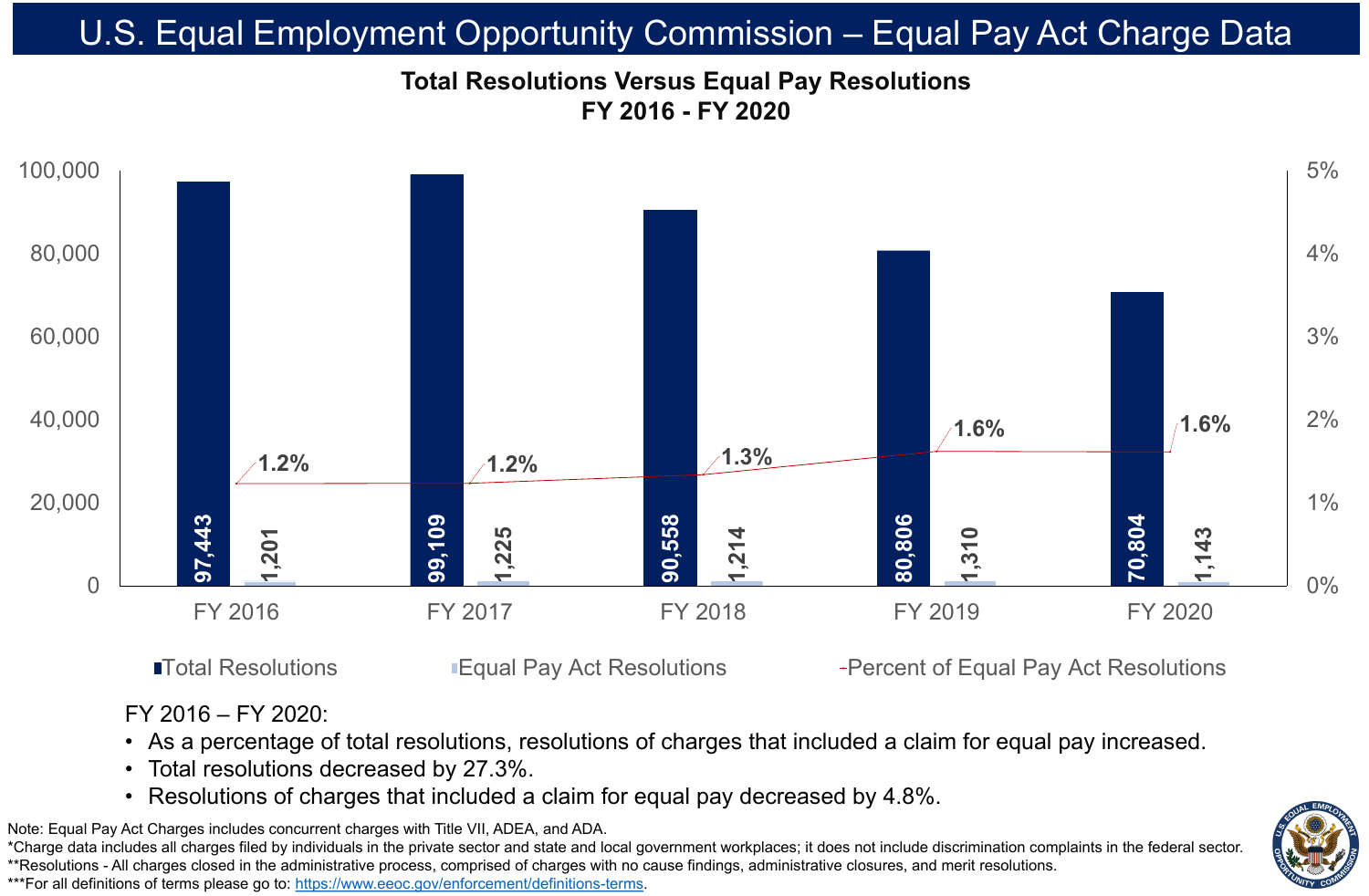

### **Total Resolutions Versus Equal Pay Resolutions FY 2016 - FY 2020** U.S. Equal Employment Opportunity Commission – Equal Pay Act Charge Data

Note: Equal Pay Act Charges includes concurrent charges with Title VII, ADEA, and ADA. \*Charge data includes all charges filed by individuals in the private sector and state and local government workplaces; it does not include discrimination complaints in the federal sector. \*\*Resolutions - All charges closed in the administrative process, comprised of charges with no cause findings, administrative closures, and merit resolutions. \*\*\*For all definitions of terms please go to: [https://www.eeoc.gov/enforcement/definitions-terms.](https://www.eeoc.gov/enforcement/definitions-terms)

### ■Total Resolutions ■ Equal Pay Act Resolutions • Percent of Equal Pay Act Resolutions

FY 2016 – FY 2020: • Total resolutions decreased by 27.3%.

## • As a percentage of total resolutions, resolutions of charges that included a claim for equal pay increased. • Resolutions of charges that included a claim for equal pay decreased by 4.8%.

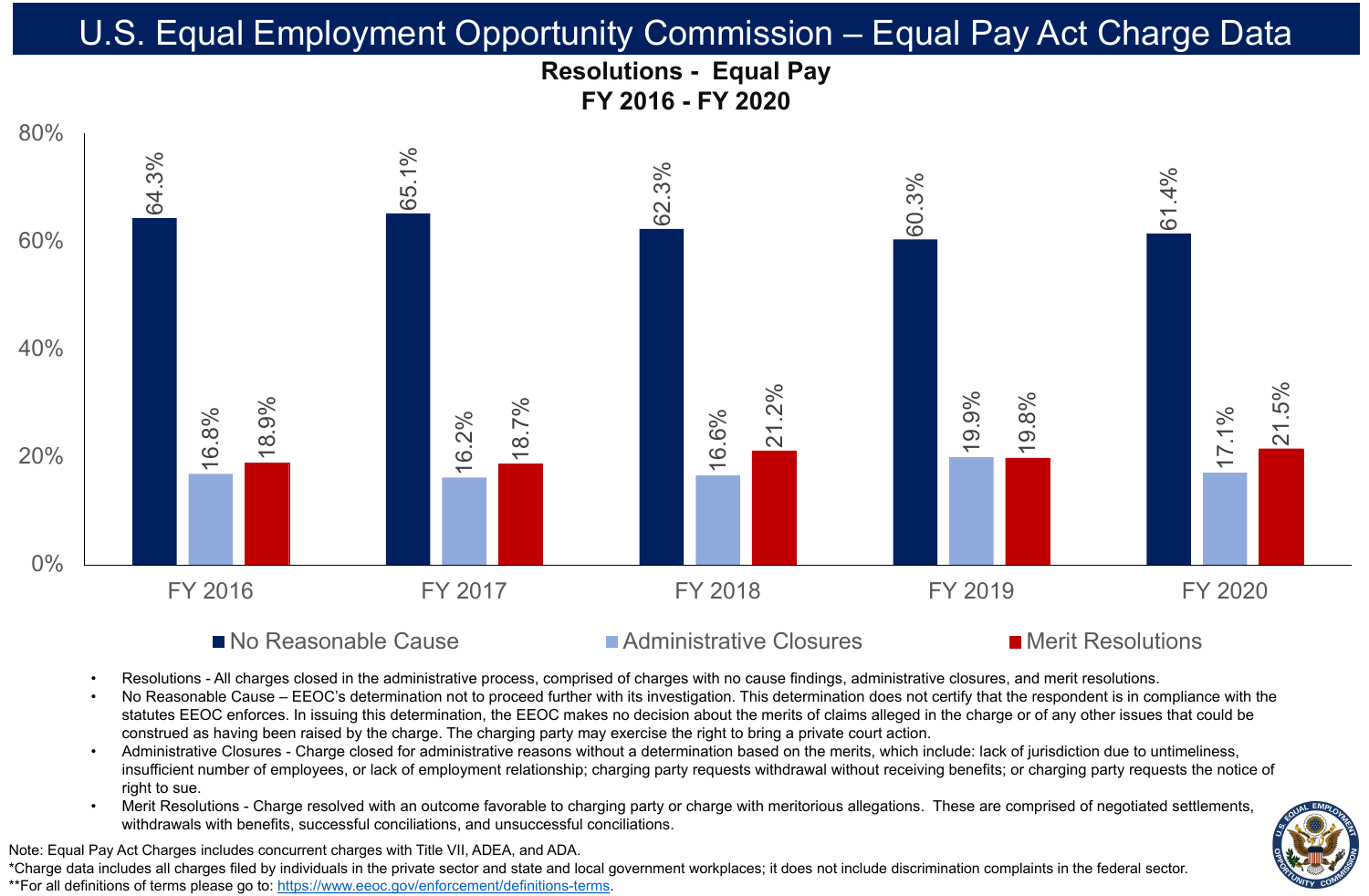





# U.S. Equal Employment Opportunity Commission – Equal Pay Act Charge Data



### ■ No Reasonable Cause ■ Administrative Closures ■ Merit Resolutions



Resolutions - All charges closed in the administrative process, comprised of charges with no cause findings, administrative closures, and merit resolutions. No Reasonable Cause – EEOC's determination not to proceed further with its investigation. This determination does not certify that the respondent is in compliance with the statutes EEOC enforces. In issuing this determination, the EEOC makes no decision about the merits of claims alleged in the charge or of any other issues that could be construed as having been raised by the charge. The charging party may exercise the right to bring a private court action. • Administrative Closures - Charge closed for administrative reasons without a determination based on the merits, which include: lack of jurisdiction due to untimeliness, insufficient number of employees, or lack of employment relationship; charging party requests withdrawal without receiving benefits; or charging party requests the notice of

Merit Resolutions - Charge resolved with an outcome favorable to charging party or charge with meritorious allegations. These are comprised of negotiated settlements, withdrawals with benefits, successful conciliations, and unsuccessful conciliations.

Note: Equal Pay Act Charges includes concurrent charges with Title VII, ADEA, and ADA. \*Charge data includes all charges filed by individuals in the private sector and state and local government workplaces; it does not include discrimination complaints in the federal sector. \*\*For all definitions of terms please go to: [https://www.eeoc.gov/enforcement/definitions-terms.](https://www.eeoc.gov/enforcement/definitions-terms)

- 
- 
- right to sue.
-